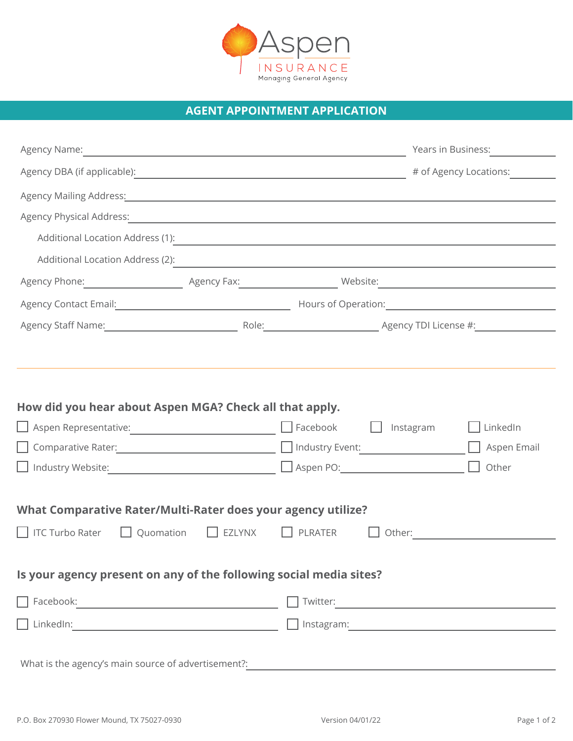

## **AGENT APPOINTMENT APPLICATION**

|                                                                                  | Agency Name: <u>Communication of the Communication</u> of the Communication of the Communication of the Communication |                                                                                                                                                                                                                                      |                                  |
|----------------------------------------------------------------------------------|-----------------------------------------------------------------------------------------------------------------------|--------------------------------------------------------------------------------------------------------------------------------------------------------------------------------------------------------------------------------------|----------------------------------|
|                                                                                  |                                                                                                                       |                                                                                                                                                                                                                                      | # of Agency Locations:           |
|                                                                                  |                                                                                                                       | Agency Mailing Address: All and the Contract of the Contract of the Contract of the Contract of the Contract of the Contract of the Contract of the Contract of the Contract of the Contract of the Contract of the Contract o       |                                  |
|                                                                                  |                                                                                                                       |                                                                                                                                                                                                                                      |                                  |
|                                                                                  |                                                                                                                       | Additional Location Address (1): Note that the set of the set of the set of the set of the set of the set of the set of the set of the set of the set of the set of the set of the set of the set of the set of the set of the       |                                  |
|                                                                                  |                                                                                                                       |                                                                                                                                                                                                                                      |                                  |
|                                                                                  |                                                                                                                       |                                                                                                                                                                                                                                      |                                  |
|                                                                                  |                                                                                                                       | Agency Contact Email: <u>Contact Constitution Control Control Control Control Control Control Control Control Control Control Control Control Control Control Control Control Control Control Control Control Control Control Co</u> |                                  |
|                                                                                  |                                                                                                                       |                                                                                                                                                                                                                                      |                                  |
| How did you hear about Aspen MGA? Check all that apply.                          |                                                                                                                       |                                                                                                                                                                                                                                      |                                  |
| $\Box$ Industry Website: $\Box$                                                  |                                                                                                                       | Instagram                                                                                                                                                                                                                            | LinkedIn<br>Aspen Email<br>Other |
| What Comparative Rater/Multi-Rater does your agency utilize?<br>  TC Turbo Rater | $\Box$ Quomation $\Box$ EZLYNX                                                                                        | PLRATER                                                                                                                                                                                                                              |                                  |
| Is your agency present on any of the following social media sites?               |                                                                                                                       |                                                                                                                                                                                                                                      |                                  |
|                                                                                  |                                                                                                                       |                                                                                                                                                                                                                                      |                                  |